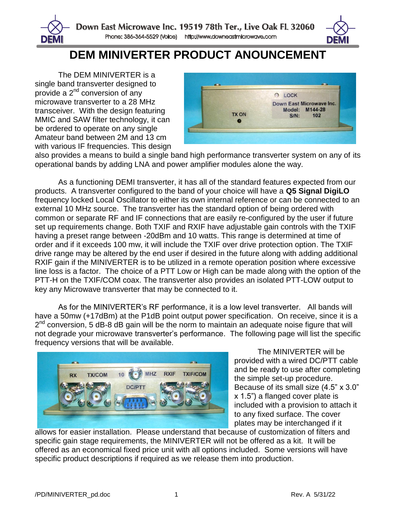

## **DEM MINIVERTER PRODUCT ANOUNCEMENT**

The DEM MINIVERTER is a single band transverter designed to provide a 2<sup>nd</sup> conversion of any microwave transverter to a 28 MHz transceiver. With the design featuring MMIC and SAW filter technology, it can be ordered to operate on any single Amateur band between 2M and 13 cm with various IF frequencies. This design

DEMI



also provides a means to build a single band high performance transverter system on any of its operational bands by adding LNA and power amplifier modules alone the way.

As a functioning DEMI transverter, it has all of the standard features expected from our products. A transverter configured to the band of your choice will have a **Q5 Signal DigiLO** frequency locked Local Oscillator to either its own internal reference or can be connected to an external 10 MHz source. The transverter has the standard option of being ordered with common or separate RF and IF connections that are easily re-configured by the user if future set up requirements change. Both TXIF and RXIF have adjustable gain controls with the TXIF having a preset range between -20dBm and 10 watts. This range is determined at time of order and if it exceeds 100 mw, it will include the TXIF over drive protection option. The TXIF drive range may be altered by the end user if desired in the future along with adding additional RXIF gain if the MINIVERTER is to be utilized in a remote operation position where excessive line loss is a factor. The choice of a PTT Low or High can be made along with the option of the PTT-H on the TXIF/COM coax. The transverter also provides an isolated PTT-LOW output to key any Microwave transverter that may be connected to it.

As for the MINIVERTER's RF performance, it is a low level transverter. All bands will have a 50mw (+17dBm) at the P1dB point output power specification. On receive, since it is a 2<sup>nd</sup> conversion, 5 dB-8 dB gain will be the norm to maintain an adequate noise figure that will not degrade your microwave transverter's performance. The following page will list the specific frequency versions that will be available.



The MINIVERTER will be provided with a wired DC/PTT cable and be ready to use after completing the simple set-up procedure. Because of its small size (4.5" x 3.0" x 1.5") a flanged cover plate is included with a provision to attach it to any fixed surface. The cover plates may be interchanged if it

allows for easier installation. Please understand that because of customization of filters and specific gain stage requirements, the MINIVERTER will not be offered as a kit. It will be offered as an economical fixed price unit with all options included. Some versions will have specific product descriptions if required as we release them into production.